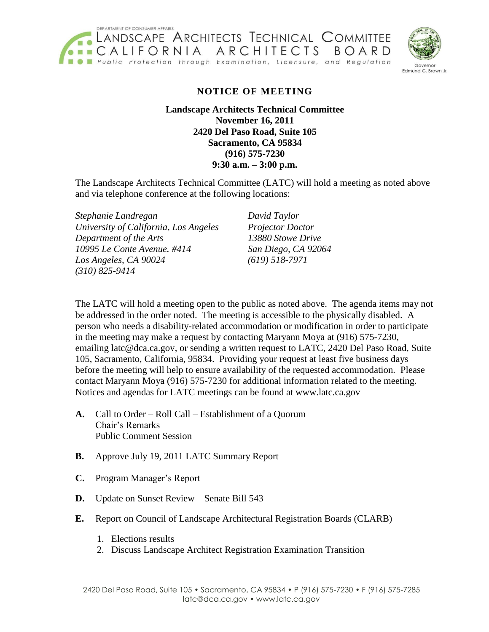

Edmund G. Brown Jr

## **NOTICE OF MEETING**

**Landscape Architects Technical Committee November 16, 2011 2420 Del Paso Road, Suite 105 Sacramento, CA 95834 (916) 575-7230 9:30 a.m. – 3:00 p.m.**

The Landscape Architects Technical Committee (LATC) will hold a meeting as noted above and via telephone conference at the following locations:

*Stephanie Landregan David Taylor University of California, Los Angeles Projector Doctor Department of the Arts 13880 Stowe Drive 10995 Le Conte Avenue. #414 San Diego, CA 92064 Los Angeles, CA 90024 (619) 518-7971 (310) 825-9414* 

 be addressed in the order noted. The meeting is accessible to the physically disabled. A in the meeting may make a request by contacting Maryann Moya at (916) 575-7230, emailing latc@dca.ca.gov, or sending a written request to LATC, 2420 Del Paso Road, Suite 105, Sacramento, California, 95834. Providing your request at least five business days The LATC will hold a meeting open to the public as noted above. The agenda items may not person who needs a disability-related accommodation or modification in order to participate before the meeting will help to ensure availability of the requested accommodation. Please contact Maryann Moya (916) 575-7230 for additional information related to the meeting. Notices and agendas for LATC meetings can be found at www.latc.ca.gov

- **A.** Call to Order Roll Call Establishment of a Quorum Chair's Remarks Public Comment Session
- **B.** Approve July 19, 2011 LATC Summary Report
- **C.** Program Manager's Report
- **D.** Update on Sunset Review Senate Bill 543
- **E.** Report on Council of Landscape Architectural Registration Boards (CLARB)
	- 1. Elections results
	- 2. Discuss Landscape Architect Registration Examination Transition